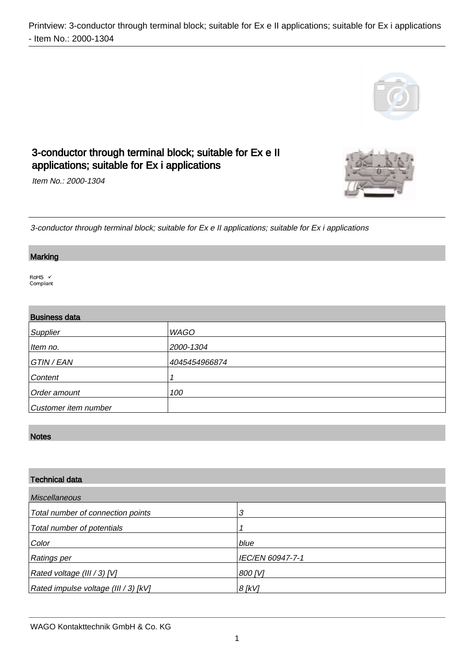

# 3-conductor through terminal block; suitable for Ex e II applications; suitable for Ex i applications

Item No.: 2000-1304

3-conductor through terminal block; suitable for Ex e II applications; suitable for Ex i applications

#### Marking

.

.

RoHS V Compliant

| <b>Business data</b> |               |  |
|----------------------|---------------|--|
| Supplier             | WAGO          |  |
| Item no.             | 2000-1304     |  |
| GTIN / EAN           | 4045454966874 |  |
| Content              |               |  |
| Order amount         | 100           |  |
| Customer item number |               |  |

### Notes

.

| <b>Technical data</b>                |                  |
|--------------------------------------|------------------|
| <b>Miscellaneous</b>                 |                  |
| Total number of connection points    | 3                |
| Total number of potentials           |                  |
| Color                                | blue             |
| <b>Ratings per</b>                   | IEC/EN 60947-7-1 |
| Rated voltage (III / 3) [V]          | 800 <i>[V]</i>   |
| Rated impulse voltage (III / 3) [kV] | $8$ [kV]         |

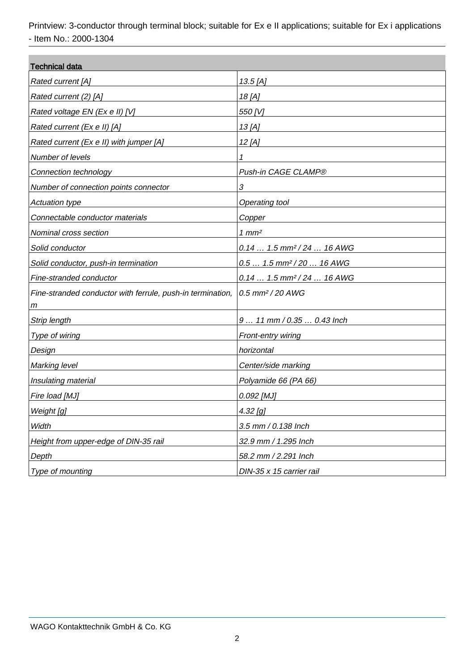| <b>Technical data</b>                                      |                                         |  |
|------------------------------------------------------------|-----------------------------------------|--|
| Rated current [A]                                          | 13.5 [A]                                |  |
| Rated current (2) [A]                                      | 18 [A]                                  |  |
| Rated voltage EN (Ex e II) [V]                             | 550 [V]                                 |  |
| Rated current (Ex e II) [A]                                | 13 [A]                                  |  |
| Rated current (Ex e II) with jumper [A]                    | 12 [A]                                  |  |
| Number of levels                                           | 1                                       |  |
| Connection technology                                      | Push-in CAGE CLAMP®                     |  |
| Number of connection points connector                      | $\boldsymbol{\mathcal{S}}$              |  |
| <b>Actuation type</b>                                      | Operating tool                          |  |
| Connectable conductor materials                            | Copper                                  |  |
| Nominal cross section                                      | $1$ mm <sup>2</sup>                     |  |
| Solid conductor                                            | $0.14 1.5$ mm <sup>2</sup> / 24  16 AWG |  |
| Solid conductor, push-in termination                       | $0.5 1.5$ mm <sup>2</sup> /20  16 AWG   |  |
| Fine-stranded conductor                                    | $0.14 1.5$ mm <sup>2</sup> / 24  16 AWG |  |
| Fine-stranded conductor with ferrule, push-in termination, | $0.5$ mm <sup>2</sup> / 20 AWG          |  |
| т                                                          |                                         |  |
| <b>Strip length</b>                                        | 9  11 mm / 0.35  0.43 lnch              |  |
| Type of wiring                                             | Front-entry wiring                      |  |
| Design                                                     | horizontal                              |  |
| <b>Marking level</b>                                       | Center/side marking                     |  |
| Insulating material                                        | Polyamide 66 (PA 66)                    |  |
| Fire load [MJ]                                             | 0.092 [MJ]                              |  |
| Weight [g]                                                 | <u>4.32 [g]</u>                         |  |
| Width                                                      | 3.5 mm / 0.138 Inch                     |  |
| Height from upper-edge of DIN-35 rail                      | 32.9 mm / 1.295 Inch                    |  |
| Depth                                                      | 58.2 mm / 2.291 Inch                    |  |
| Type of mounting                                           | DIN-35 x 15 carrier rail                |  |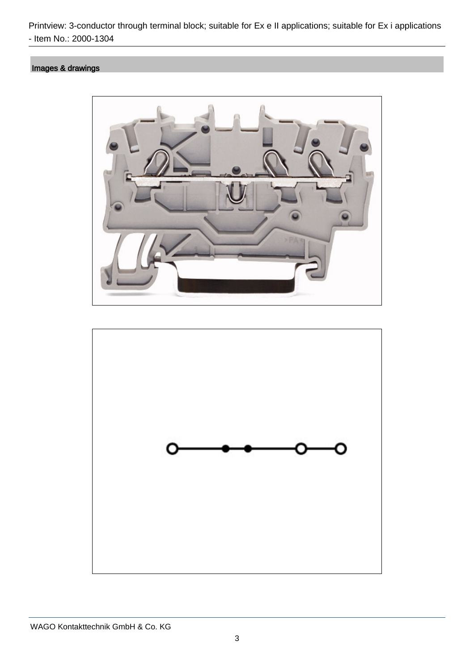## Images & drawings